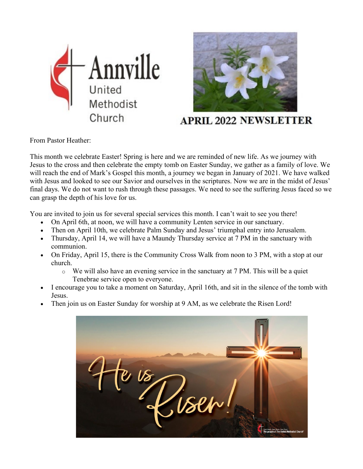



## **APRIL 2022 NEWSLETTER**

From Pastor Heather:

This month we celebrate Easter! Spring is here and we are reminded of new life. As we journey with Jesus to the cross and then celebrate the empty tomb on Easter Sunday, we gather as a family of love. We will reach the end of Mark's Gospel this month, a journey we began in January of 2021. We have walked with Jesus and looked to see our Savior and ourselves in the scriptures. Now we are in the midst of Jesus' final days. We do not want to rush through these passages. We need to see the suffering Jesus faced so we can grasp the depth of his love for us.

You are invited to join us for several special services this month. I can't wait to see you there!

- On April 6th, at noon, we will have a community Lenten service in our sanctuary.
- Then on April 10th, we celebrate Palm Sunday and Jesus' triumphal entry into Jerusalem.
- Thursday, April 14, we will have a Maundy Thursday service at 7 PM in the sanctuary with communion.
- On Friday, April 15, there is the Community Cross Walk from noon to 3 PM, with a stop at our church.
	- o We will also have an evening service in the sanctuary at 7 PM. This will be a quiet Tenebrae service open to everyone.
- I encourage you to take a moment on Saturday, April 16th, and sit in the silence of the tomb with Jesus.
- Then join us on Easter Sunday for worship at 9 AM, as we celebrate the Risen Lord!

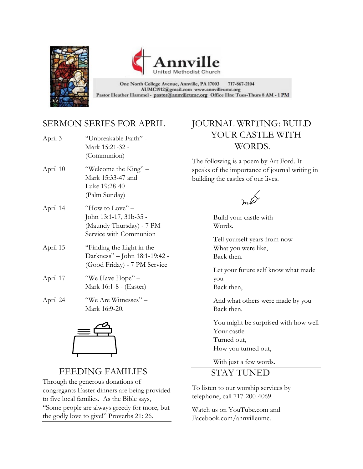



717-867-2104 One North College Avenue, Annville, PA 17003 AUMC1912@gmail.com www.annvilleumc.org Pastor Heather Hammel - pastor@annvilleumc.org Office Hrs: Tues-Thurs 8 AM - 1 PM

#### SERMON SERIES FOR APRIL

| April 3  | "Unbreakable Faith" -<br>Mark 15:21-32 -<br>(Communion)                                           |
|----------|---------------------------------------------------------------------------------------------------|
| April 10 | "Welcome the King" –<br>Mark 15:33-47 and<br>Luke 19:28-40 -<br>(Palm Sunday)                     |
| April 14 | "How to Love" $-$<br>John 13:1-17, 31b-35 -<br>(Maundy Thursday) - 7 PM<br>Service with Communion |
| April 15 | "Finding the Light in the<br>Darkness" - John 18:1-19:42 -<br>(Good Friday) - 7 PM Service        |
| April 17 | "We Have Hope" –<br>Mark 16:1-8 - (Easter)                                                        |
| April 24 | "We Are Witnesses" -<br>Mark 16:9-20.                                                             |

#### JOURNAL WRITING: BUILD YOUR CASTLE WITH WORDS.

The following is a poem by Art Ford. It speaks of the importance of journal writing in building the castles of our lives.

Build your castle with Words.

Tell yourself years from now What you were like, Back then.

Let your future self know what made you Back then,

And what others were made by you Back then.

You might be surprised with how well Your castle Turned out, How you turned out,

With just a few words.

#### STAY TUNED

To listen to our worship services by telephone, call 717-200-4069.

Watch us on YouTube.com and Facebook.com/annvilleumc.



# FEEDING FAMILIES<br>Through the generous donations of

congregants Easter dinners are being provided to five local families. As the Bible says, "Some people are always greedy for more, but the godly love to give!" Proverbs 21: 26.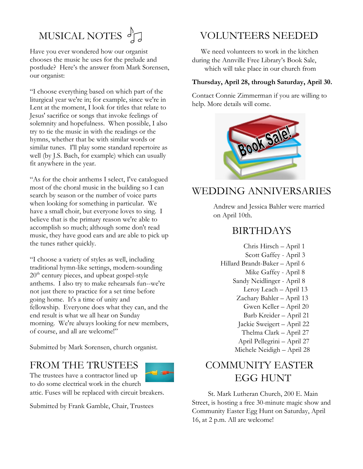# MUSICAL NOTES  $\int_{\mathbb{R}}$

Have you ever wondered how our organist chooses the music he uses for the prelude and postlude? Here's the answer from Mark Sorensen, our organist:

"I choose everything based on which part of the liturgical year we're in; for example, since we're in Lent at the moment, I look for titles that relate to Jesus' sacrifice or songs that invoke feelings of solemnity and hopefulness. When possible, I also try to tie the music in with the readings or the hymns, whether that be with similar words or similar tunes. I'll play some standard repertoire as well (by J.S. Bach, for example) which can usually fit anywhere in the year.

"As for the choir anthems I select, I've catalogued most of the choral music in the building so I can search by season or the number of voice parts when looking for something in particular. We have a small choir, but everyone loves to sing. I believe that is the primary reason we're able to accomplish so much; although some don't read music, they have good ears and are able to pick up the tunes rather quickly.

"I choose a variety of styles as well, including traditional hymn-like settings, modern-sounding  $20<sup>th</sup>$  century pieces, and upbeat gospel-style anthems. I also try to make rehearsals fun--we're not just there to practice for a set time before going home. It's a time of unity and fellowship. Everyone does what they can, and the end result is what we all hear on Sunday morning. We're always looking for new members, of course, and all are welcome!"

Submitted by Mark Sorensen, church organist.

#### FROM THE TRUSTEES

The trustees have a contractor lined up to do some electrical work in the church



attic. Fuses will be replaced with circuit breakers.

Submitted by Frank Gamble, Chair, Trustees

## VOLUNTEERS NEEDED

 We need volunteers to work in the kitchen during the Annville Free Library's Book Sale, which will take place in our church from

#### **Thursday, April 28, through Saturday, April 30.**

Contact Connie Zimmerman if you are willing to help. More details will come.



# WEDDING ANNIVERSARIES

Andrew and Jessica Bahler were married on April 10th.

#### BIRTHDAYS

 Chris Hirsch – April 1 Scott Gaffey - April 3 Hillard Brandt-Baker – April 6 Mike Gaffey - April 8 Sandy Neidlinger - April 8 Leroy Leach – April 13 Zachary Bahler – April 13 Gwen Keller – April 20 Barb Kreider – April 21 Jackie Sweigert – April 22 Thelma Clark – April 27 April Pellegrini – April 27 Michele Neidigh – April 28

## COMMUNITY EASTER EGG HUNT

 St. Mark Lutheran Church, 200 E. Main Street, is hosting a free 30-minute magic show and Community Easter Egg Hunt on Saturday, April 16, at 2 p.m. All are welcome!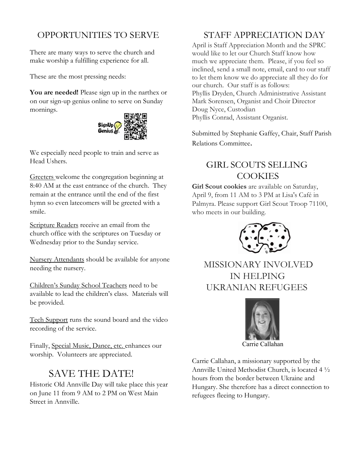#### OPPORTUNITIES TO SERVE

There are many ways to serve the church and make worship a fulfilling experience for all.

These are the most pressing needs:

**You are needed!** Please sign up in the narthex or on our sign-up genius online to serve on Sunday mornings.



We especially need people to train and serve as Head Ushers.

Greeters welcome the congregation beginning at 8:40 AM at the east entrance of the church. They remain at the entrance until the end of the first hymn so even latecomers will be greeted with a smile.

Scripture Readers receive an email from the church office with the scriptures on Tuesday or Wednesday prior to the Sunday service.

Nursery Attendants should be available for anyone needing the nursery.

Children's Sunday School Teachers need to be available to lead the children's class. Materials will be provided.

Tech Support runs the sound board and the video recording of the service.

Finally, Special Music, Dance, etc. enhances our worship. Volunteers are appreciated.

# SAVE THE DATE!

Historic Old Annville Day will take place this year on June 11 from 9 AM to 2 PM on West Main Street in Annville.

#### STAFF APPRECIATION DAY

April is Staff Appreciation Month and the SPRC would like to let our Church Staff know how much we appreciate them. Please, if you feel so inclined, send a small note, email, card to our staff to let them know we do appreciate all they do for our church. Our staff is as follows: Phyllis Dryden, Church Administrative Assistant Mark Sorensen, Organist and Choir Director Doug Nyce, Custodian Phyllis Conrad, Assistant Organist.

Submitted by Stephanie Gaffey, Chair, Staff Parish Relations Committee.

#### GIRL SCOUTS SELLING **COOKIES**

**Girl Scout cookies** are available on Saturday, April 9, from 11 AM to 3 PM at Lisa's Café in Palmyra. Please support Girl Scout Troop 71100, who meets in our building.



 MISSIONARY INVOLVED IN HELPING UKRANIAN REFUGEES



Carrie Callahan

Carrie Callahan, a missionary supported by the Annville United Methodist Church, is located 4 ½ hours from the border between Ukraine and Hungary. She therefore has a direct connection to refugees fleeing to Hungary.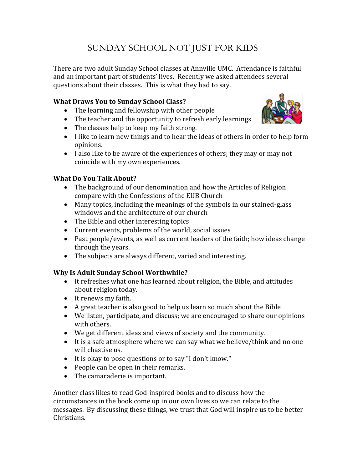### SUNDAY SCHOOL NOT JUST FOR KIDS

There are two adult Sunday School classes at Annville UMC. Attendance is faithful and an important part of students' lives. Recently we asked attendees several questions about their classes. This is what they had to say.

#### **What Draws You to Sunday School Class?**

- The learning and fellowship with other people
- The teacher and the opportunity to refresh early learnings
- The classes help to keep my faith strong.
- I like to learn new things and to hear the ideas of others in order to help form opinions.
- I also like to be aware of the experiences of others; they may or may not coincide with my own experiences.

#### **What Do You Talk About?**

- The background of our denomination and how the Articles of Religion compare with the Confessions of the EUB Church
- Many topics, including the meanings of the symbols in our stained-glass windows and the architecture of our church
- The Bible and other interesting topics
- Current events, problems of the world, social issues
- Past people/events, as well as current leaders of the faith; how ideas change through the years.
- The subjects are always different, varied and interesting.

#### **Why Is Adult Sunday School Worthwhile?**

- It refreshes what one has learned about religion, the Bible, and attitudes about religion today.
- It renews my faith.
- A great teacher is also good to help us learn so much about the Bible
- We listen, participate, and discuss; we are encouraged to share our opinions with others.
- We get different ideas and views of society and the community.
- It is a safe atmosphere where we can say what we believe/think and no one will chastise us.
- It is okay to pose questions or to say "I don't know."
- People can be open in their remarks.
- The camaraderie is important.

Another class likes to read God-inspired books and to discuss how the circumstances in the book come up in our own lives so we can relate to the messages. By discussing these things, we trust that God will inspire us to be better Christians.

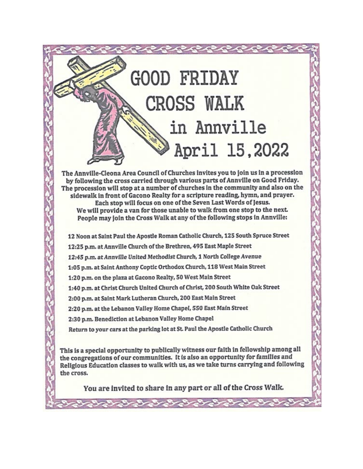# **GOOD FRIDAY CROSS WALK** in Annville April 15,2022

The Annville-Cleona Area Council of Churches invites you to join us in a procession by following the cross carried through various parts of Annville on Good Friday. The procession will stop at a number of churches in the community and also on the sidewalk in front of Gacono Realty for a scripture reading, hymn, and prayer. Each stop will focus on one of the Seven Last Words of Jesus. We will provide a van for those unable to walk from one stop to the next. People may join the Cross Walk at any of the following stops in Annville:

12 Noon at Saint Paul the Apostle Roman Catholic Church, 125 South Spruce Street

12:25 p.m. at Annville Church of the Brethren, 495 East Maple Street

12:45 p.m. at Annville United Methodist Church, 1 North College Avenue

1:05 p.m. at Saint Anthony Coptic Orthodox Church, 118 West Main Street

1:20 p.m. on the plaza at Gacono Realty, 50 West Main Street

1:40 p.m. at Christ Church United Church of Christ, 200 South White Oak Street

2:00 p.m. at Saint Mark Lutheran Church, 200 East Main Street

2:20 p.m. at the Lebanon Valley Home Chapel, 550 East Main Street

2:30 p.m. Benediction at Lebanon Valley Home Chapel

Return to your cars at the parking lot at St. Paul the Apostle Catholic Church

This is a special opportunity to publically witness our faith in fellowship among all the congregations of our communities. It is also an opportunity for families and Religious Education classes to walk with us, as we take turns carrying and following the cross.

You are invited to share in any part or all of the Cross Walk.